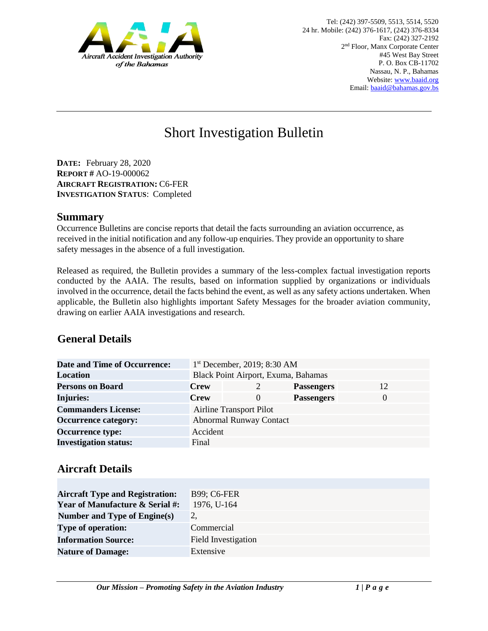

# Short Investigation Bulletin

**DATE:** February 28, 2020 **REPORT #** AO-19-000062 **AIRCRAFT REGISTRATION:** C6-FER **INVESTIGATION STATUS**: Completed

#### **Summary**

Occurrence Bulletins are concise reports that detail the facts surrounding an aviation occurrence, as received in the initial notification and any follow-up enquiries. They provide an opportunity to share safety messages in the absence of a full investigation*.* 

Released as required, the Bulletin provides a summary of the less-complex factual investigation reports conducted by the AAIA. The results, based on information supplied by organizations or individuals involved in the occurrence, detail the facts behind the event, as well as any safety actions undertaken. When applicable, the Bulletin also highlights important Safety Messages for the broader aviation community, drawing on earlier AAIA investigations and research.

# **General Details**

| <b>Date and Time of Occurrence:</b> |                                     | $1st$ December, 2019; 8:30 AM  |                   |          |
|-------------------------------------|-------------------------------------|--------------------------------|-------------------|----------|
| <b>Location</b>                     | Black Point Airport, Exuma, Bahamas |                                |                   |          |
| <b>Persons on Board</b>             | <b>Crew</b>                         |                                | <b>Passengers</b> | 12       |
| <b>Injuries:</b>                    | <b>Crew</b>                         | $\Omega$                       | <b>Passengers</b> | $\theta$ |
| <b>Commanders License:</b>          |                                     | <b>Airline Transport Pilot</b> |                   |          |
| <b>Occurrence category:</b>         |                                     | <b>Abnormal Runway Contact</b> |                   |          |
| <b>Occurrence type:</b>             | Accident                            |                                |                   |          |
| <b>Investigation status:</b>        | Final                               |                                |                   |          |

### **Aircraft Details**

| <b>Aircraft Type and Registration:</b>     | <b>B99; C6-FER</b>         |
|--------------------------------------------|----------------------------|
| <b>Year of Manufacture &amp; Serial #:</b> | 1976, U-164                |
| Number and Type of Engine(s)               |                            |
| <b>Type of operation:</b>                  | Commercial                 |
| <b>Information Source:</b>                 | <b>Field Investigation</b> |
| <b>Nature of Damage:</b>                   | Extensive                  |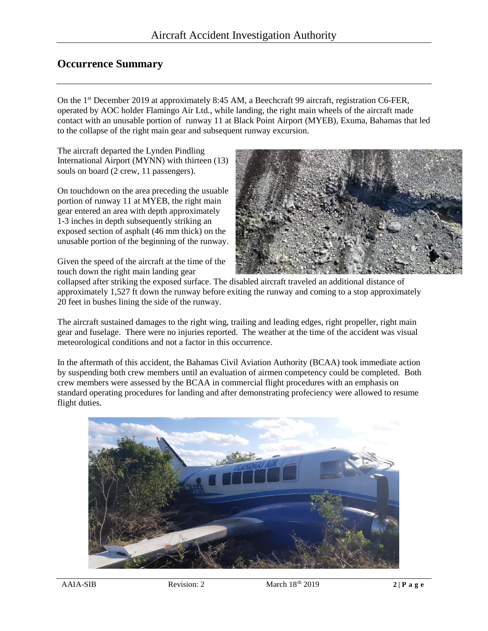## **Occurrence Summary**

On the 1st December 2019 at approximately 8:45 AM, a Beechcraft 99 aircraft, registration C6-FER, operated by AOC holder Flamingo Air Ltd., while landing, the right main wheels of the aircraft made contact with an unusable portion of runway 11 at Black Point Airport (MYEB), Exuma, Bahamas that led to the collapse of the right main gear and subsequent runway excursion.

The aircraft departed the Lynden Pindling International Airport (MYNN) with thirteen (13) souls on board (2 crew, 11 passengers).

On touchdown on the area preceding the usuable portion of runway 11 at MYEB, the right main gear entered an area with depth approximately 1-3 inches in depth subsequently striking an exposed section of asphalt (46 mm thick) on the unusable portion of the beginning of the runway.

Given the speed of the aircraft at the time of the touch down the right main landing gear



collapsed after striking the exposed surface. The disabled aircraft traveled an additional distance of approximately 1,527 ft down the runway before exiting the runway and coming to a stop approximately 20 feet in bushes lining the side of the runway.

The aircraft sustained damages to the right wing, trailing and leading edges, right propeller, right main gear and fuselage. There were no injuries reported. The weather at the time of the accident was visual meteorological conditions and not a factor in this occurrence.

In the aftermath of this accident, the Bahamas Civil Aviation Authority (BCAA) took immediate action by suspending both crew members until an evaluation of airmen competency could be completed. Both crew members were assessed by the BCAA in commercial flight procedures with an emphasis on standard operating procedures for landing and after demonstrating profeciency were allowed to resume flight duties.